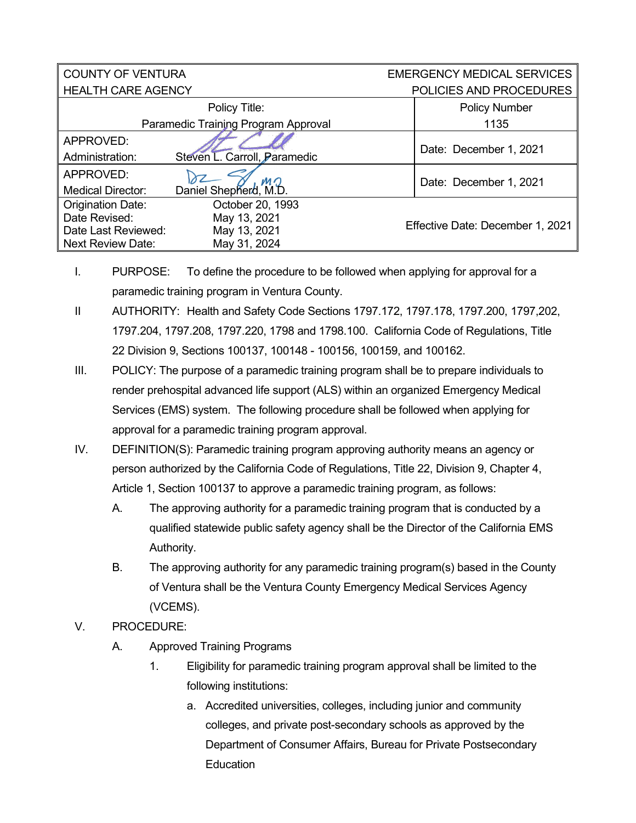| <b>COUNTY OF VENTURA</b>            |                              | <b>EMERGENCY MEDICAL SERVICES</b> |  |
|-------------------------------------|------------------------------|-----------------------------------|--|
| <b>HEALTH CARE AGENCY</b>           |                              | POLICIES AND PROCEDURES           |  |
|                                     | Policy Title:                | <b>Policy Number</b>              |  |
| Paramedic Training Program Approval |                              | 1135                              |  |
| APPROVED:                           |                              |                                   |  |
| Administration:                     | Steven L. Carroll, Paramedic | Date: December 1, 2021            |  |
| APPROVED:                           |                              | Date: December 1, 2021            |  |
| <b>Medical Director:</b>            | Daniel Shepherd, M.D.        |                                   |  |
| <b>Origination Date:</b>            | October 20, 1993             |                                   |  |
| Date Revised:                       | May 13, 2021                 |                                   |  |
| Date Last Reviewed:                 | May 13, 2021                 | Effective Date: December 1, 2021  |  |
| <b>Next Review Date:</b>            | May 31, 2024                 |                                   |  |

I. PURPOSE: To define the procedure to be followed when applying for approval for a paramedic training program in Ventura County.

- II AUTHORITY: Health and Safety Code Sections 1797.172, 1797.178, 1797.200, 1797,202, 1797.204, 1797.208, 1797.220, 1798 and 1798.100. California Code of Regulations, Title 22 Division 9, Sections 100137, 100148 - 100156, 100159, and 100162.
- III. POLICY: The purpose of a paramedic training program shall be to prepare individuals to render prehospital advanced life support (ALS) within an organized Emergency Medical Services (EMS) system. The following procedure shall be followed when applying for approval for a paramedic training program approval.
- IV. DEFINITION(S): Paramedic training program approving authority means an agency or person authorized by the California Code of Regulations, Title 22, Division 9, Chapter 4, Article 1, Section 100137 to approve a paramedic training program, as follows:
	- A. The approving authority for a paramedic training program that is conducted by a qualified statewide public safety agency shall be the Director of the California EMS Authority.
	- B. The approving authority for any paramedic training program(s) based in the County of Ventura shall be the Ventura County Emergency Medical Services Agency (VCEMS).
- V. PROCEDURE:
	- A. Approved Training Programs
		- 1. Eligibility for paramedic training program approval shall be limited to the following institutions:
			- a. Accredited universities, colleges, including junior and community colleges, and private post-secondary schools as approved by the Department of Consumer Affairs, Bureau for Private Postsecondary Education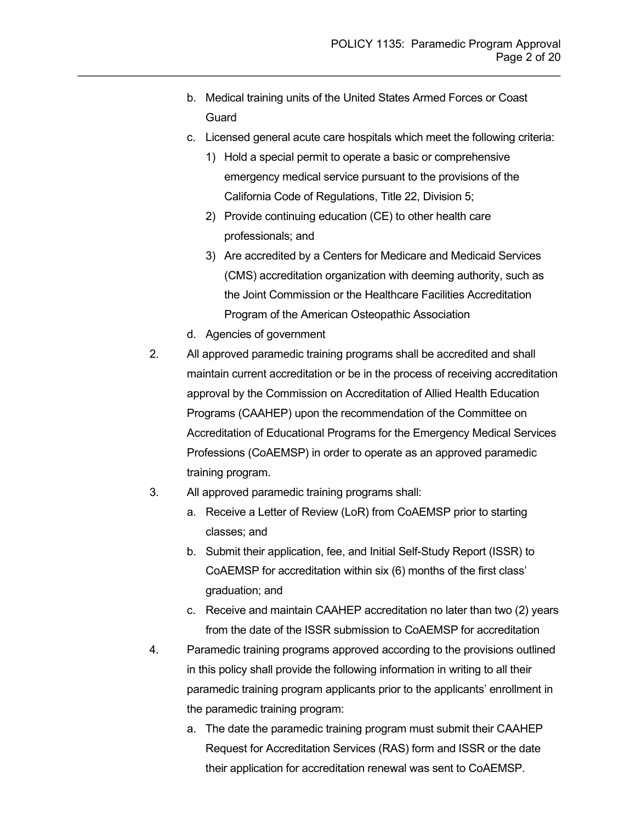b. Medical training units of the United States Armed Forces or Coast **Guard** 

- c. Licensed general acute care hospitals which meet the following criteria:
	- 1) Hold a special permit to operate a basic or comprehensive emergency medical service pursuant to the provisions of the California Code of Regulations, Title 22, Division 5;
	- 2) Provide continuing education (CE) to other health care professionals; and
	- 3) Are accredited by a Centers for Medicare and Medicaid Services (CMS) accreditation organization with deeming authority, such as the Joint Commission or the Healthcare Facilities Accreditation Program of the American Osteopathic Association
- d. Agencies of government
- 2. All approved paramedic training programs shall be accredited and shall maintain current accreditation or be in the process of receiving accreditation approval by the Commission on Accreditation of Allied Health Education Programs (CAAHEP) upon the recommendation of the Committee on Accreditation of Educational Programs for the Emergency Medical Services Professions (CoAEMSP) in order to operate as an approved paramedic training program.
- 3. All approved paramedic training programs shall:
	- a. Receive a Letter of Review (LoR) from CoAEMSP prior to starting classes; and
	- b. Submit their application, fee, and Initial Self-Study Report (ISSR) to CoAEMSP for accreditation within six (6) months of the first class' graduation; and
	- c. Receive and maintain CAAHEP accreditation no later than two (2) years from the date of the ISSR submission to CoAEMSP for accreditation
- 4. Paramedic training programs approved according to the provisions outlined in this policy shall provide the following information in writing to all their paramedic training program applicants prior to the applicants' enrollment in the paramedic training program:
	- a. The date the paramedic training program must submit their CAAHEP Request for Accreditation Services (RAS) form and ISSR or the date their application for accreditation renewal was sent to CoAEMSP.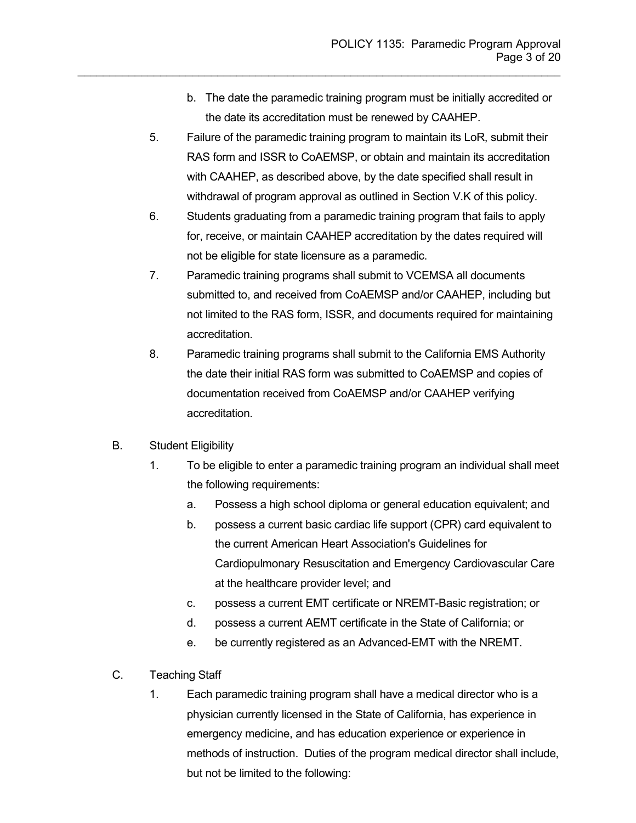- b. The date the paramedic training program must be initially accredited or the date its accreditation must be renewed by CAAHEP.
- 5. Failure of the paramedic training program to maintain its LoR, submit their RAS form and ISSR to CoAEMSP, or obtain and maintain its accreditation with CAAHEP, as described above, by the date specified shall result in withdrawal of program approval as outlined in Section V.K of this policy.

- 6. Students graduating from a paramedic training program that fails to apply for, receive, or maintain CAAHEP accreditation by the dates required will not be eligible for state licensure as a paramedic.
- 7. Paramedic training programs shall submit to VCEMSA all documents submitted to, and received from CoAEMSP and/or CAAHEP, including but not limited to the RAS form, ISSR, and documents required for maintaining accreditation.
- 8. Paramedic training programs shall submit to the California EMS Authority the date their initial RAS form was submitted to CoAEMSP and copies of documentation received from CoAEMSP and/or CAAHEP verifying accreditation.
- B. Student Eligibility
	- 1. To be eligible to enter a paramedic training program an individual shall meet the following requirements:
		- a. Possess a high school diploma or general education equivalent; and
		- b. possess a current basic cardiac life support (CPR) card equivalent to the current American Heart Association's Guidelines for Cardiopulmonary Resuscitation and Emergency Cardiovascular Care at the healthcare provider level; and
		- c. possess a current EMT certificate or NREMT-Basic registration; or
		- d. possess a current AEMT certificate in the State of California; or
		- e. be currently registered as an Advanced-EMT with the NREMT.
- C. Teaching Staff
	- 1. Each paramedic training program shall have a medical director who is a physician currently licensed in the State of California, has experience in emergency medicine, and has education experience or experience in methods of instruction. Duties of the program medical director shall include, but not be limited to the following: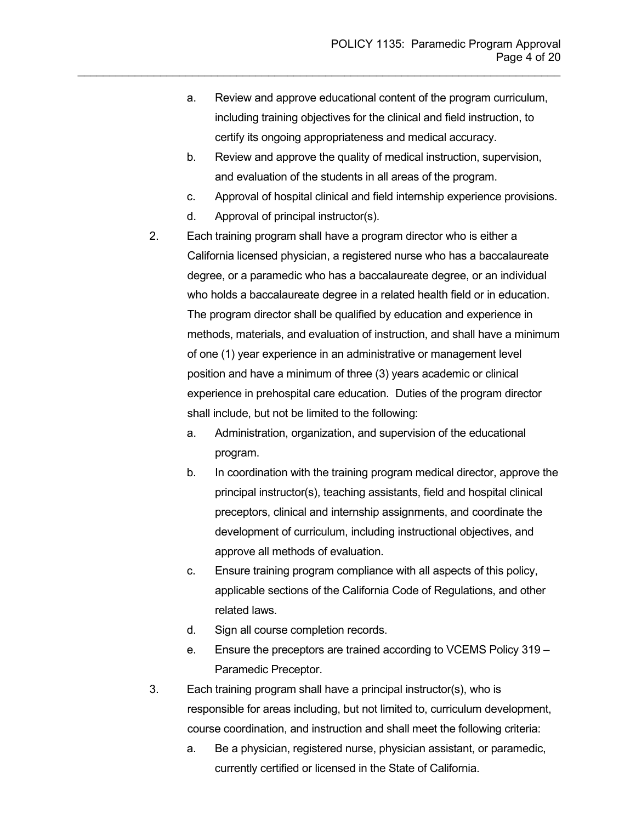a. Review and approve educational content of the program curriculum, including training objectives for the clinical and field instruction, to certify its ongoing appropriateness and medical accuracy.

- b. Review and approve the quality of medical instruction, supervision, and evaluation of the students in all areas of the program.
- c. Approval of hospital clinical and field internship experience provisions.
- d. Approval of principal instructor(s).
- 2. Each training program shall have a program director who is either a California licensed physician, a registered nurse who has a baccalaureate degree, or a paramedic who has a baccalaureate degree, or an individual who holds a baccalaureate degree in a related health field or in education. The program director shall be qualified by education and experience in methods, materials, and evaluation of instruction, and shall have a minimum of one (1) year experience in an administrative or management level position and have a minimum of three (3) years academic or clinical experience in prehospital care education. Duties of the program director shall include, but not be limited to the following:
	- a. Administration, organization, and supervision of the educational program.
	- b. In coordination with the training program medical director, approve the principal instructor(s), teaching assistants, field and hospital clinical preceptors, clinical and internship assignments, and coordinate the development of curriculum, including instructional objectives, and approve all methods of evaluation.
	- c. Ensure training program compliance with all aspects of this policy, applicable sections of the California Code of Regulations, and other related laws.
	- d. Sign all course completion records.
	- e. Ensure the preceptors are trained according to VCEMS Policy 319 Paramedic Preceptor.
- 3. Each training program shall have a principal instructor(s), who is responsible for areas including, but not limited to, curriculum development, course coordination, and instruction and shall meet the following criteria:
	- a. Be a physician, registered nurse, physician assistant, or paramedic, currently certified or licensed in the State of California.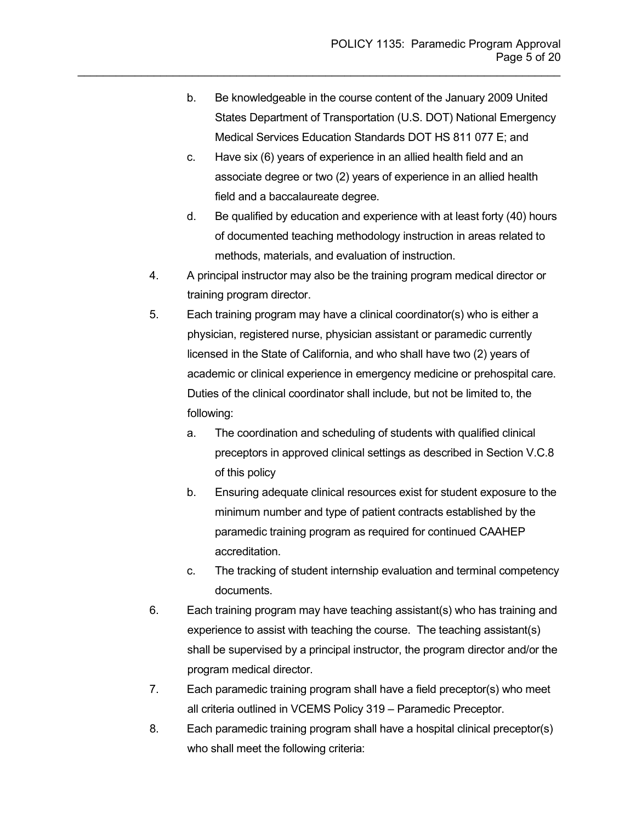b. Be knowledgeable in the course content of the January 2009 United States Department of Transportation (U.S. DOT) National Emergency Medical Services Education Standards DOT HS 811 077 E; and

- c. Have six (6) years of experience in an allied health field and an associate degree or two (2) years of experience in an allied health field and a baccalaureate degree.
- d. Be qualified by education and experience with at least forty (40) hours of documented teaching methodology instruction in areas related to methods, materials, and evaluation of instruction.
- 4. A principal instructor may also be the training program medical director or training program director.
- 5. Each training program may have a clinical coordinator(s) who is either a physician, registered nurse, physician assistant or paramedic currently licensed in the State of California, and who shall have two (2) years of academic or clinical experience in emergency medicine or prehospital care. Duties of the clinical coordinator shall include, but not be limited to, the following:
	- a. The coordination and scheduling of students with qualified clinical preceptors in approved clinical settings as described in Section V.C.8 of this policy
	- b. Ensuring adequate clinical resources exist for student exposure to the minimum number and type of patient contracts established by the paramedic training program as required for continued CAAHEP accreditation.
	- c. The tracking of student internship evaluation and terminal competency documents.
- 6. Each training program may have teaching assistant(s) who has training and experience to assist with teaching the course. The teaching assistant(s) shall be supervised by a principal instructor, the program director and/or the program medical director.
- 7. Each paramedic training program shall have a field preceptor(s) who meet all criteria outlined in VCEMS Policy 319 – Paramedic Preceptor.
- 8. Each paramedic training program shall have a hospital clinical preceptor(s) who shall meet the following criteria: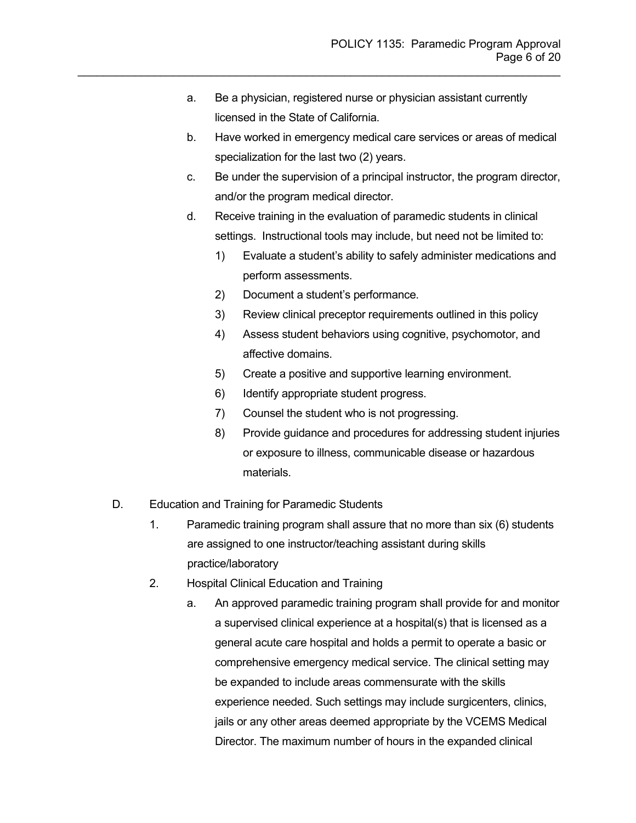a. Be a physician, registered nurse or physician assistant currently licensed in the State of California.

- b. Have worked in emergency medical care services or areas of medical specialization for the last two (2) years.
- c. Be under the supervision of a principal instructor, the program director, and/or the program medical director.
- d. Receive training in the evaluation of paramedic students in clinical settings. Instructional tools may include, but need not be limited to:
	- 1) Evaluate a student's ability to safely administer medications and perform assessments.
	- 2) Document a student's performance.
	- 3) Review clinical preceptor requirements outlined in this policy
	- 4) Assess student behaviors using cognitive, psychomotor, and affective domains.
	- 5) Create a positive and supportive learning environment.
	- 6) Identify appropriate student progress.
	- 7) Counsel the student who is not progressing.
	- 8) Provide guidance and procedures for addressing student injuries or exposure to illness, communicable disease or hazardous materials.
- D. Education and Training for Paramedic Students
	- 1. Paramedic training program shall assure that no more than six (6) students are assigned to one instructor/teaching assistant during skills practice/laboratory
	- 2. Hospital Clinical Education and Training
		- a. An approved paramedic training program shall provide for and monitor a supervised clinical experience at a hospital(s) that is licensed as a general acute care hospital and holds a permit to operate a basic or comprehensive emergency medical service. The clinical setting may be expanded to include areas commensurate with the skills experience needed. Such settings may include surgicenters, clinics, jails or any other areas deemed appropriate by the VCEMS Medical Director. The maximum number of hours in the expanded clinical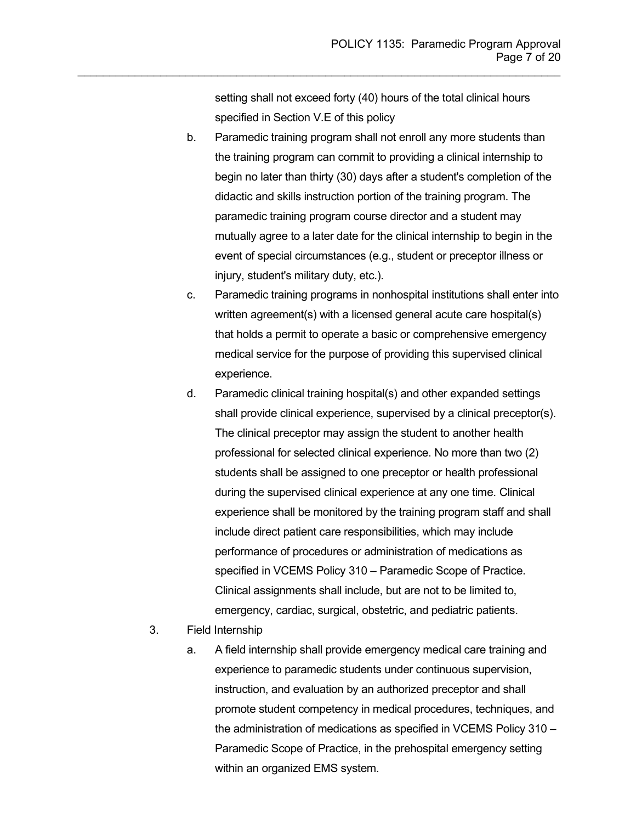setting shall not exceed forty (40) hours of the total clinical hours specified in Section V.E of this policy

- b. Paramedic training program shall not enroll any more students than the training program can commit to providing a clinical internship to begin no later than thirty (30) days after a student's completion of the didactic and skills instruction portion of the training program. The paramedic training program course director and a student may mutually agree to a later date for the clinical internship to begin in the event of special circumstances (e.g., student or preceptor illness or injury, student's military duty, etc.).
- c. Paramedic training programs in nonhospital institutions shall enter into written agreement(s) with a licensed general acute care hospital(s) that holds a permit to operate a basic or comprehensive emergency medical service for the purpose of providing this supervised clinical experience.
- d. Paramedic clinical training hospital(s) and other expanded settings shall provide clinical experience, supervised by a clinical preceptor(s). The clinical preceptor may assign the student to another health professional for selected clinical experience. No more than two (2) students shall be assigned to one preceptor or health professional during the supervised clinical experience at any one time. Clinical experience shall be monitored by the training program staff and shall include direct patient care responsibilities, which may include performance of procedures or administration of medications as specified in VCEMS Policy 310 – Paramedic Scope of Practice. Clinical assignments shall include, but are not to be limited to, emergency, cardiac, surgical, obstetric, and pediatric patients.
- 3. Field Internship
	- a. A field internship shall provide emergency medical care training and experience to paramedic students under continuous supervision, instruction, and evaluation by an authorized preceptor and shall promote student competency in medical procedures, techniques, and the administration of medications as specified in VCEMS Policy 310 – Paramedic Scope of Practice, in the prehospital emergency setting within an organized EMS system.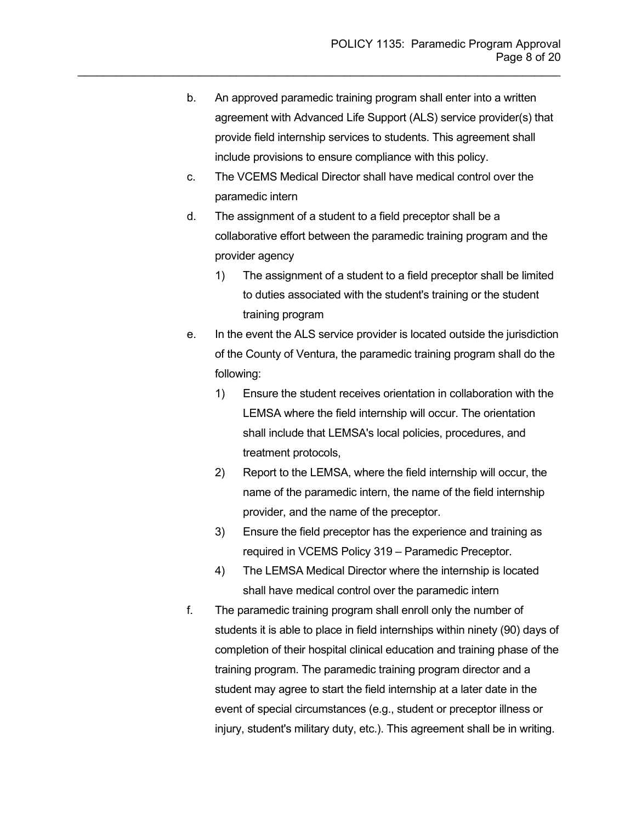b. An approved paramedic training program shall enter into a written agreement with Advanced Life Support (ALS) service provider(s) that provide field internship services to students. This agreement shall include provisions to ensure compliance with this policy.

- c. The VCEMS Medical Director shall have medical control over the paramedic intern
- d. The assignment of a student to a field preceptor shall be a collaborative effort between the paramedic training program and the provider agency
	- 1) The assignment of a student to a field preceptor shall be limited to duties associated with the student's training or the student training program
- e. In the event the ALS service provider is located outside the jurisdiction of the County of Ventura, the paramedic training program shall do the following:
	- 1) Ensure the student receives orientation in collaboration with the LEMSA where the field internship will occur. The orientation shall include that LEMSA's local policies, procedures, and treatment protocols,
	- 2) Report to the LEMSA, where the field internship will occur, the name of the paramedic intern, the name of the field internship provider, and the name of the preceptor.
	- 3) Ensure the field preceptor has the experience and training as required in VCEMS Policy 319 – Paramedic Preceptor.
	- 4) The LEMSA Medical Director where the internship is located shall have medical control over the paramedic intern
- f. The paramedic training program shall enroll only the number of students it is able to place in field internships within ninety (90) days of completion of their hospital clinical education and training phase of the training program. The paramedic training program director and a student may agree to start the field internship at a later date in the event of special circumstances (e.g., student or preceptor illness or injury, student's military duty, etc.). This agreement shall be in writing.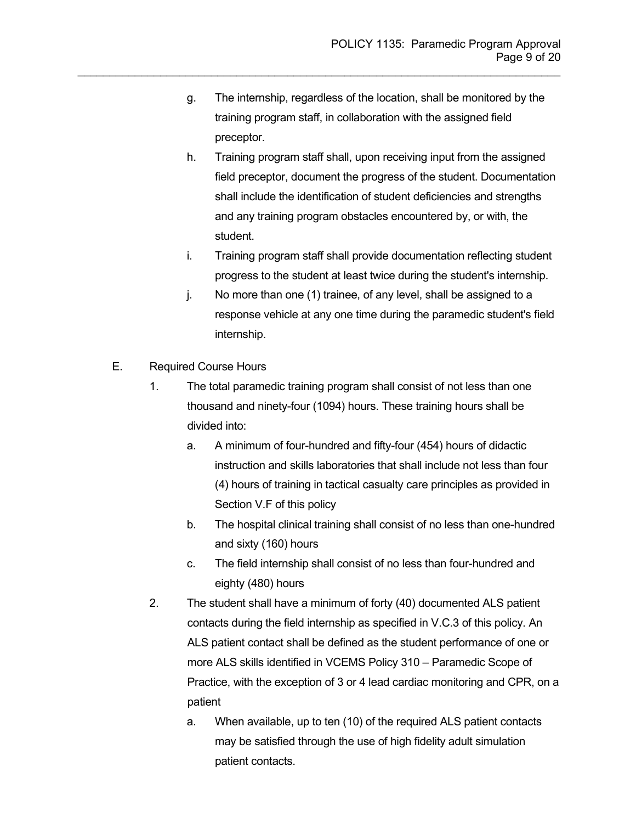g. The internship, regardless of the location, shall be monitored by the training program staff, in collaboration with the assigned field preceptor.

- h. Training program staff shall, upon receiving input from the assigned field preceptor, document the progress of the student. Documentation shall include the identification of student deficiencies and strengths and any training program obstacles encountered by, or with, the student.
- i. Training program staff shall provide documentation reflecting student progress to the student at least twice during the student's internship.
- j. No more than one (1) trainee, of any level, shall be assigned to a response vehicle at any one time during the paramedic student's field internship.
- E. Required Course Hours
	- 1. The total paramedic training program shall consist of not less than one thousand and ninety-four (1094) hours. These training hours shall be divided into:
		- a. A minimum of four-hundred and fifty-four (454) hours of didactic instruction and skills laboratories that shall include not less than four (4) hours of training in tactical casualty care principles as provided in Section V.F of this policy
		- b. The hospital clinical training shall consist of no less than one-hundred and sixty (160) hours
		- c. The field internship shall consist of no less than four-hundred and eighty (480) hours
	- 2. The student shall have a minimum of forty (40) documented ALS patient contacts during the field internship as specified in V.C.3 of this policy. An ALS patient contact shall be defined as the student performance of one or more ALS skills identified in VCEMS Policy 310 – Paramedic Scope of Practice, with the exception of 3 or 4 lead cardiac monitoring and CPR, on a patient
		- a. When available, up to ten (10) of the required ALS patient contacts may be satisfied through the use of high fidelity adult simulation patient contacts.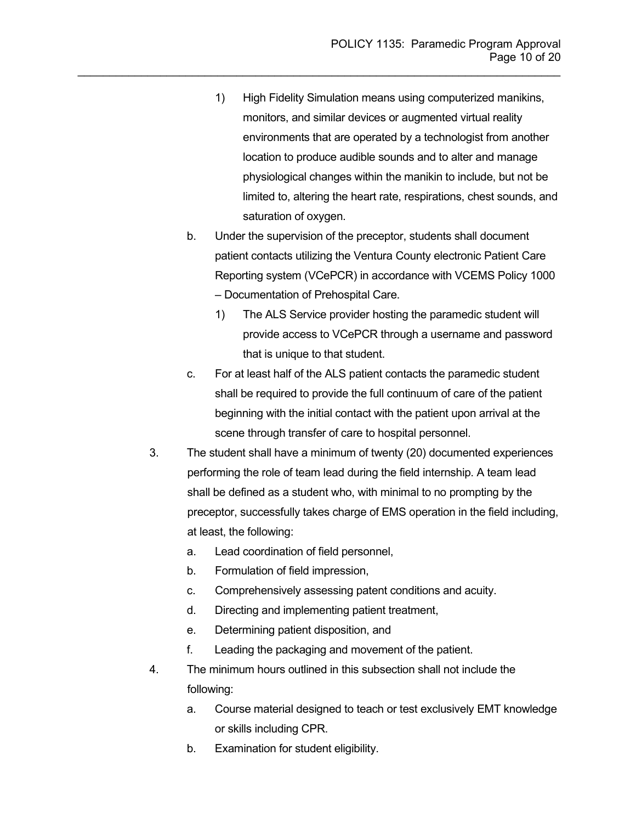1) High Fidelity Simulation means using computerized manikins, monitors, and similar devices or augmented virtual reality environments that are operated by a technologist from another location to produce audible sounds and to alter and manage physiological changes within the manikin to include, but not be limited to, altering the heart rate, respirations, chest sounds, and saturation of oxygen.

- b. Under the supervision of the preceptor, students shall document patient contacts utilizing the Ventura County electronic Patient Care Reporting system (VCePCR) in accordance with VCEMS Policy 1000 – Documentation of Prehospital Care.
	- 1) The ALS Service provider hosting the paramedic student will provide access to VCePCR through a username and password
		- that is unique to that student.
- c. For at least half of the ALS patient contacts the paramedic student shall be required to provide the full continuum of care of the patient beginning with the initial contact with the patient upon arrival at the scene through transfer of care to hospital personnel.
- 3. The student shall have a minimum of twenty (20) documented experiences performing the role of team lead during the field internship. A team lead shall be defined as a student who, with minimal to no prompting by the preceptor, successfully takes charge of EMS operation in the field including, at least, the following:
	- a. Lead coordination of field personnel,
	- b. Formulation of field impression,
	- c. Comprehensively assessing patent conditions and acuity.
	- d. Directing and implementing patient treatment,
	- e. Determining patient disposition, and
	- f. Leading the packaging and movement of the patient.
- 4. The minimum hours outlined in this subsection shall not include the following:
	- a. Course material designed to teach or test exclusively EMT knowledge or skills including CPR.
	- b. Examination for student eligibility.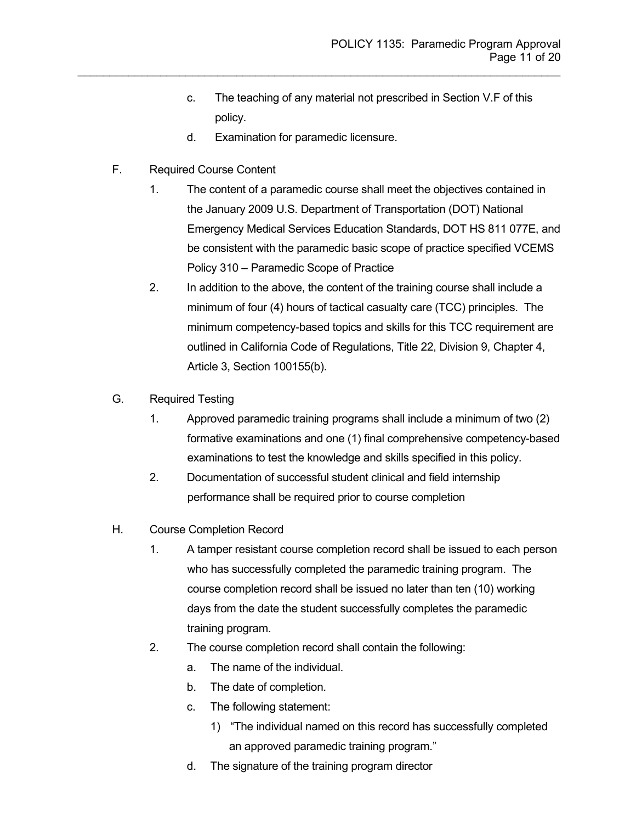- c. The teaching of any material not prescribed in Section V.F of this policy.
- d. Examination for paramedic licensure.

- F. Required Course Content
	- 1. The content of a paramedic course shall meet the objectives contained in the January 2009 U.S. Department of Transportation (DOT) National Emergency Medical Services Education Standards, DOT HS 811 077E, and be consistent with the paramedic basic scope of practice specified VCEMS Policy 310 – Paramedic Scope of Practice
	- 2. In addition to the above, the content of the training course shall include a minimum of four (4) hours of tactical casualty care (TCC) principles. The minimum competency-based topics and skills for this TCC requirement are outlined in California Code of Regulations, Title 22, Division 9, Chapter 4, Article 3, Section 100155(b).
- G. Required Testing
	- 1. Approved paramedic training programs shall include a minimum of two (2) formative examinations and one (1) final comprehensive competency-based examinations to test the knowledge and skills specified in this policy.
	- 2. Documentation of successful student clinical and field internship performance shall be required prior to course completion
- H. Course Completion Record
	- 1. A tamper resistant course completion record shall be issued to each person who has successfully completed the paramedic training program. The course completion record shall be issued no later than ten (10) working days from the date the student successfully completes the paramedic training program.
	- 2. The course completion record shall contain the following:
		- a. The name of the individual.
		- b. The date of completion.
		- c. The following statement:
			- 1) "The individual named on this record has successfully completed an approved paramedic training program."
		- d. The signature of the training program director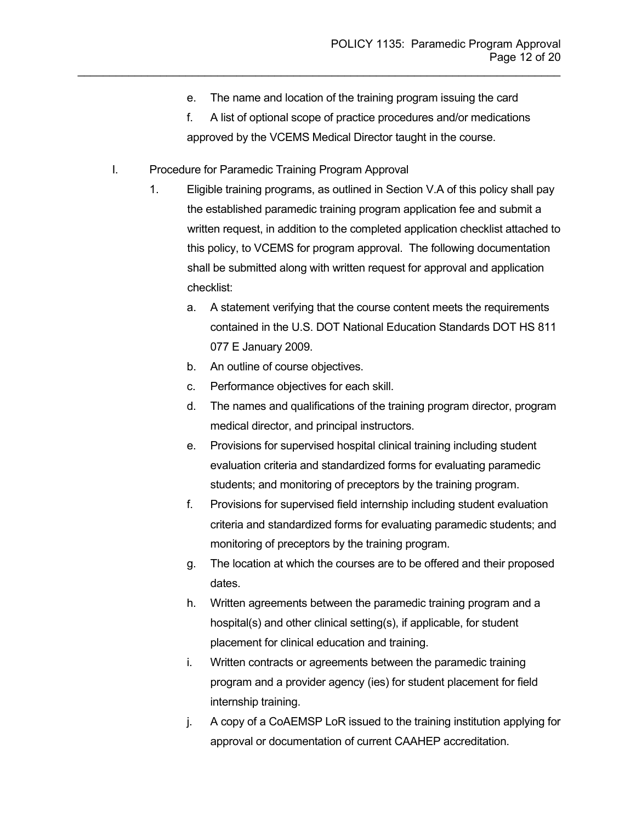e. The name and location of the training program issuing the card

- f. A list of optional scope of practice procedures and/or medications approved by the VCEMS Medical Director taught in the course.
- I. Procedure for Paramedic Training Program Approval
	- 1. Eligible training programs, as outlined in Section V.A of this policy shall pay the established paramedic training program application fee and submit a written request, in addition to the completed application checklist attached to this policy, to VCEMS for program approval. The following documentation shall be submitted along with written request for approval and application checklist:
		- a. A statement verifying that the course content meets the requirements contained in the U.S. DOT National Education Standards DOT HS 811 077 E January 2009.
		- b. An outline of course objectives.
		- c. Performance objectives for each skill.
		- d. The names and qualifications of the training program director, program medical director, and principal instructors.
		- e. Provisions for supervised hospital clinical training including student evaluation criteria and standardized forms for evaluating paramedic students; and monitoring of preceptors by the training program.
		- f. Provisions for supervised field internship including student evaluation criteria and standardized forms for evaluating paramedic students; and monitoring of preceptors by the training program.
		- g. The location at which the courses are to be offered and their proposed dates.
		- h. Written agreements between the paramedic training program and a hospital(s) and other clinical setting(s), if applicable, for student placement for clinical education and training.
		- i. Written contracts or agreements between the paramedic training program and a provider agency (ies) for student placement for field internship training.
		- j. A copy of a CoAEMSP LoR issued to the training institution applying for approval or documentation of current CAAHEP accreditation.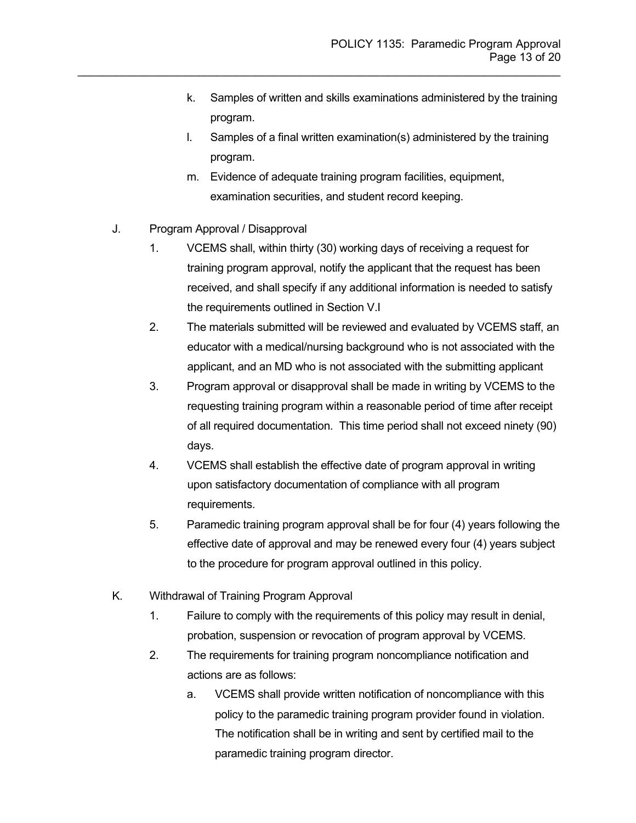- k. Samples of written and skills examinations administered by the training program.
- l. Samples of a final written examination(s) administered by the training program.
- m. Evidence of adequate training program facilities, equipment, examination securities, and student record keeping.

- J. Program Approval / Disapproval
	- 1. VCEMS shall, within thirty (30) working days of receiving a request for training program approval, notify the applicant that the request has been received, and shall specify if any additional information is needed to satisfy the requirements outlined in Section V.I
	- 2. The materials submitted will be reviewed and evaluated by VCEMS staff, an educator with a medical/nursing background who is not associated with the applicant, and an MD who is not associated with the submitting applicant
	- 3. Program approval or disapproval shall be made in writing by VCEMS to the requesting training program within a reasonable period of time after receipt of all required documentation. This time period shall not exceed ninety (90) days.
	- 4. VCEMS shall establish the effective date of program approval in writing upon satisfactory documentation of compliance with all program requirements.
	- 5. Paramedic training program approval shall be for four (4) years following the effective date of approval and may be renewed every four (4) years subject to the procedure for program approval outlined in this policy.
- K. Withdrawal of Training Program Approval
	- 1. Failure to comply with the requirements of this policy may result in denial, probation, suspension or revocation of program approval by VCEMS.
	- 2. The requirements for training program noncompliance notification and actions are as follows:
		- a. VCEMS shall provide written notification of noncompliance with this policy to the paramedic training program provider found in violation. The notification shall be in writing and sent by certified mail to the paramedic training program director.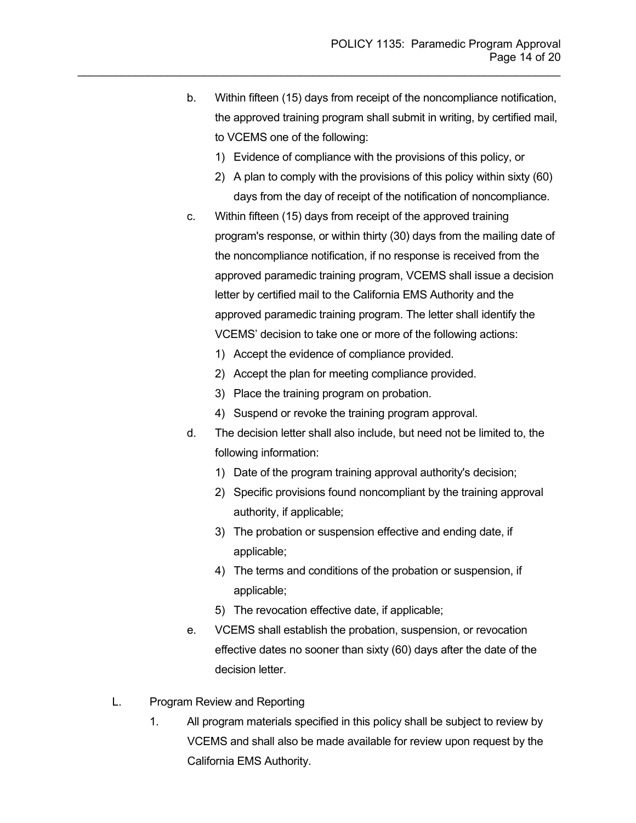b. Within fifteen (15) days from receipt of the noncompliance notification, the approved training program shall submit in writing, by certified mail, to VCEMS one of the following:

- 1) Evidence of compliance with the provisions of this policy, or
- 2) A plan to comply with the provisions of this policy within sixty (60) days from the day of receipt of the notification of noncompliance.
- c. Within fifteen (15) days from receipt of the approved training program's response, or within thirty (30) days from the mailing date of the noncompliance notification, if no response is received from the approved paramedic training program, VCEMS shall issue a decision letter by certified mail to the California EMS Authority and the approved paramedic training program. The letter shall identify the VCEMS' decision to take one or more of the following actions:
	- 1) Accept the evidence of compliance provided.
	- 2) Accept the plan for meeting compliance provided.
	- 3) Place the training program on probation.
	- 4) Suspend or revoke the training program approval.
- d. The decision letter shall also include, but need not be limited to, the following information:
	- 1) Date of the program training approval authority's decision;
	- 2) Specific provisions found noncompliant by the training approval authority, if applicable;
	- 3) The probation or suspension effective and ending date, if applicable;
	- 4) The terms and conditions of the probation or suspension, if applicable;
	- 5) The revocation effective date, if applicable;
- e. VCEMS shall establish the probation, suspension, or revocation effective dates no sooner than sixty (60) days after the date of the decision letter.
- L. Program Review and Reporting
	- 1. All program materials specified in this policy shall be subject to review by VCEMS and shall also be made available for review upon request by the California EMS Authority.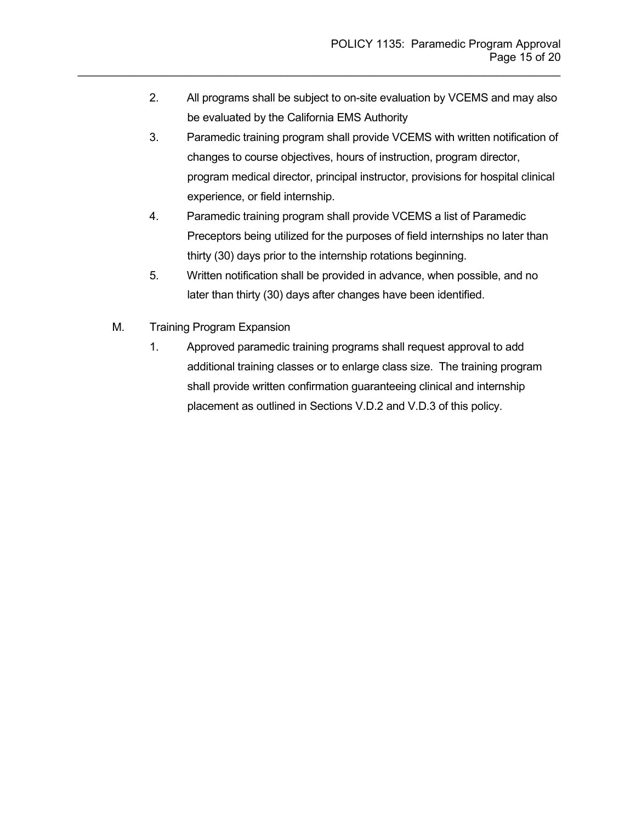2. All programs shall be subject to on-site evaluation by VCEMS and may also be evaluated by the California EMS Authority

- 3. Paramedic training program shall provide VCEMS with written notification of changes to course objectives, hours of instruction, program director, program medical director, principal instructor, provisions for hospital clinical experience, or field internship.
- 4. Paramedic training program shall provide VCEMS a list of Paramedic Preceptors being utilized for the purposes of field internships no later than thirty (30) days prior to the internship rotations beginning.
- 5. Written notification shall be provided in advance, when possible, and no later than thirty (30) days after changes have been identified.
- M. Training Program Expansion
	- 1. Approved paramedic training programs shall request approval to add additional training classes or to enlarge class size. The training program shall provide written confirmation guaranteeing clinical and internship placement as outlined in Sections V.D.2 and V.D.3 of this policy.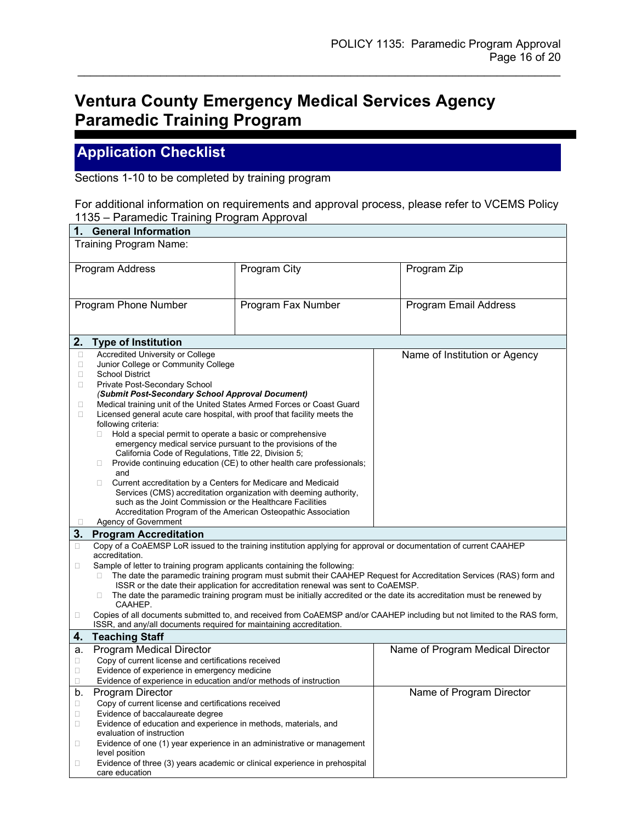## **Ventura County Emergency Medical Services Agency Paramedic Training Program**

## **Application Checklist**

Sections 1-10 to be completed by training program

| For additional information on requirements and approval process, please refer to VCEMS Policy |  |
|-----------------------------------------------------------------------------------------------|--|
| 1135 – Paramedic Training Program Approval                                                    |  |

| 1. General Information |                                                                                                 |                                                                                   |                                                                                                                          |
|------------------------|-------------------------------------------------------------------------------------------------|-----------------------------------------------------------------------------------|--------------------------------------------------------------------------------------------------------------------------|
| Training Program Name: |                                                                                                 |                                                                                   |                                                                                                                          |
|                        |                                                                                                 |                                                                                   |                                                                                                                          |
|                        | Program Address                                                                                 | Program City                                                                      | Program Zip                                                                                                              |
|                        |                                                                                                 |                                                                                   |                                                                                                                          |
|                        |                                                                                                 |                                                                                   |                                                                                                                          |
|                        |                                                                                                 |                                                                                   |                                                                                                                          |
|                        | Program Phone Number                                                                            | Program Fax Number                                                                | Program Email Address                                                                                                    |
|                        |                                                                                                 |                                                                                   |                                                                                                                          |
|                        |                                                                                                 |                                                                                   |                                                                                                                          |
| 2.                     | <b>Type of Institution</b>                                                                      |                                                                                   |                                                                                                                          |
| $\Box$                 | Accredited University or College                                                                |                                                                                   | Name of Institution or Agency                                                                                            |
| $\Box$                 | Junior College or Community College                                                             |                                                                                   |                                                                                                                          |
| $\Box$                 | <b>School District</b>                                                                          |                                                                                   |                                                                                                                          |
| 0                      | Private Post-Secondary School                                                                   |                                                                                   |                                                                                                                          |
|                        | (Submit Post-Secondary School Approval Document)                                                |                                                                                   |                                                                                                                          |
| $\Box$                 | Medical training unit of the United States Armed Forces or Coast Guard                          |                                                                                   |                                                                                                                          |
| $\Box$                 | Licensed general acute care hospital, with proof that facility meets the<br>following criteria: |                                                                                   |                                                                                                                          |
|                        | Hold a special permit to operate a basic or comprehensive<br>П.                                 |                                                                                   |                                                                                                                          |
|                        | emergency medical service pursuant to the provisions of the                                     |                                                                                   |                                                                                                                          |
|                        | California Code of Regulations, Title 22, Division 5;                                           |                                                                                   |                                                                                                                          |
|                        | 0                                                                                               | Provide continuing education (CE) to other health care professionals;             |                                                                                                                          |
|                        | and                                                                                             |                                                                                   |                                                                                                                          |
|                        | Current accreditation by a Centers for Medicare and Medicaid<br>п                               |                                                                                   |                                                                                                                          |
|                        |                                                                                                 | Services (CMS) accreditation organization with deeming authority,                 |                                                                                                                          |
|                        | such as the Joint Commission or the Healthcare Facilities                                       |                                                                                   |                                                                                                                          |
| ш                      | Accreditation Program of the American Osteopathic Association<br>Agency of Government           |                                                                                   |                                                                                                                          |
| 3.                     |                                                                                                 |                                                                                   |                                                                                                                          |
|                        | <b>Program Accreditation</b>                                                                    |                                                                                   | Copy of a CoAEMSP LoR issued to the training institution applying for approval or documentation of current CAAHEP        |
| □                      | accreditation.                                                                                  |                                                                                   |                                                                                                                          |
| □                      | Sample of letter to training program applicants containing the following:                       |                                                                                   |                                                                                                                          |
|                        | п                                                                                               |                                                                                   | The date the paramedic training program must submit their CAAHEP Request for Accreditation Services (RAS) form and       |
|                        |                                                                                                 | ISSR or the date their application for accreditation renewal was sent to CoAEMSP. |                                                                                                                          |
|                        | Ш<br>CAAHEP.                                                                                    |                                                                                   | The date the paramedic training program must be initially accredited or the date its accreditation must be renewed by    |
| $\Box$                 |                                                                                                 |                                                                                   | Copies of all documents submitted to, and received from CoAEMSP and/or CAAHEP including but not limited to the RAS form, |
|                        | ISSR, and any/all documents required for maintaining accreditation.                             |                                                                                   |                                                                                                                          |
| 4.                     | <b>Teaching Staff</b>                                                                           |                                                                                   |                                                                                                                          |
| а.                     | Program Medical Director                                                                        |                                                                                   | Name of Program Medical Director                                                                                         |
| Ω                      | Copy of current license and certifications received                                             |                                                                                   |                                                                                                                          |
| $\Box$                 | Evidence of experience in emergency medicine                                                    |                                                                                   |                                                                                                                          |
| Ω                      | Evidence of experience in education and/or methods of instruction                               |                                                                                   |                                                                                                                          |
| b.                     | Program Director                                                                                |                                                                                   | Name of Program Director                                                                                                 |
| $\Box$                 | Copy of current license and certifications received                                             |                                                                                   |                                                                                                                          |
| $\Box$                 | Evidence of baccalaureate degree                                                                |                                                                                   |                                                                                                                          |
| $\Box$                 | Evidence of education and experience in methods, materials, and                                 |                                                                                   |                                                                                                                          |
|                        | evaluation of instruction                                                                       |                                                                                   |                                                                                                                          |
| $\Box$                 | Evidence of one (1) year experience in an administrative or management<br>level position        |                                                                                   |                                                                                                                          |
| $\Box$                 | Evidence of three (3) years academic or clinical experience in prehospital                      |                                                                                   |                                                                                                                          |
|                        | care education                                                                                  |                                                                                   |                                                                                                                          |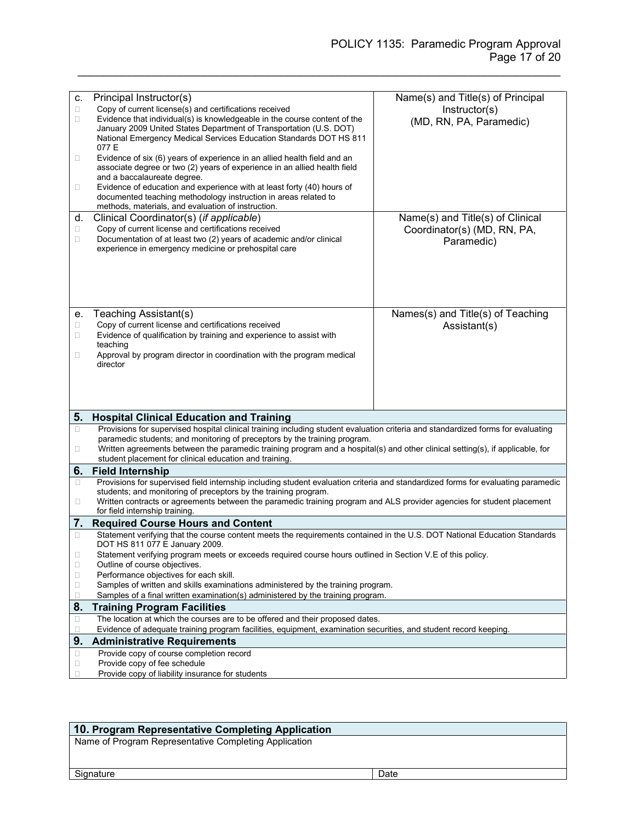| c.     | Principal Instructor(s)                                                                                                                                                             | Name(s) and Title(s) of Principal |
|--------|-------------------------------------------------------------------------------------------------------------------------------------------------------------------------------------|-----------------------------------|
| $\Box$ | Copy of current license(s) and certifications received                                                                                                                              | Instructor(s)                     |
| $\Box$ | Evidence that individual(s) is knowledgeable in the course content of the                                                                                                           | (MD, RN, PA, Paramedic)           |
|        | January 2009 United States Department of Transportation (U.S. DOT)                                                                                                                  |                                   |
|        | National Emergency Medical Services Education Standards DOT HS 811                                                                                                                  |                                   |
|        | 077 E                                                                                                                                                                               |                                   |
| $\Box$ | Evidence of six (6) years of experience in an allied health field and an<br>associate degree or two (2) years of experience in an allied health field                               |                                   |
|        | and a baccalaureate degree.                                                                                                                                                         |                                   |
| $\Box$ | Evidence of education and experience with at least forty (40) hours of                                                                                                              |                                   |
|        | documented teaching methodology instruction in areas related to                                                                                                                     |                                   |
|        | methods, materials, and evaluation of instruction.                                                                                                                                  |                                   |
| d.     | Clinical Coordinator(s) (if applicable)                                                                                                                                             | Name(s) and Title(s) of Clinical  |
| $\Box$ | Copy of current license and certifications received                                                                                                                                 | Coordinator(s) (MD, RN, PA,       |
| $\Box$ | Documentation of at least two (2) years of academic and/or clinical                                                                                                                 | Paramedic)                        |
|        | experience in emergency medicine or prehospital care                                                                                                                                |                                   |
|        |                                                                                                                                                                                     |                                   |
|        |                                                                                                                                                                                     |                                   |
|        |                                                                                                                                                                                     |                                   |
|        |                                                                                                                                                                                     |                                   |
|        |                                                                                                                                                                                     |                                   |
| е.     | Teaching Assistant(s)                                                                                                                                                               | Names(s) and Title(s) of Teaching |
| $\Box$ | Copy of current license and certifications received                                                                                                                                 | Assistant(s)                      |
| □      | Evidence of qualification by training and experience to assist with                                                                                                                 |                                   |
|        | teaching                                                                                                                                                                            |                                   |
| 0      | Approval by program director in coordination with the program medical                                                                                                               |                                   |
|        | director                                                                                                                                                                            |                                   |
|        |                                                                                                                                                                                     |                                   |
|        |                                                                                                                                                                                     |                                   |
|        |                                                                                                                                                                                     |                                   |
|        |                                                                                                                                                                                     |                                   |
| 5.     | <b>Hospital Clinical Education and Training</b><br>Provisions for supervised hospital clinical training including student evaluation criteria and standardized forms for evaluating |                                   |
| $\Box$ | paramedic students; and monitoring of preceptors by the training program.                                                                                                           |                                   |
| $\Box$ | Written agreements between the paramedic training program and a hospital(s) and other clinical setting(s), if applicable, for                                                       |                                   |
|        | student placement for clinical education and training.                                                                                                                              |                                   |
| 6.     | <b>Field Internship</b>                                                                                                                                                             |                                   |
| $\Box$ | Provisions for supervised field internship including student evaluation criteria and standardized forms for evaluating paramedic                                                    |                                   |
|        | students; and monitoring of preceptors by the training program.                                                                                                                     |                                   |
| O      | Written contracts or agreements between the paramedic training program and ALS provider agencies for student placement                                                              |                                   |
|        | for field internship training.                                                                                                                                                      |                                   |
| 7.     | <b>Required Course Hours and Content</b>                                                                                                                                            |                                   |
| □      | Statement verifying that the course content meets the requirements contained in the U.S. DOT National Education Standards                                                           |                                   |
|        | DOT HS 811 077 E January 2009.                                                                                                                                                      |                                   |
| ш      | Statement verifying program meets or exceeds required course hours outlined in Section V.E of this policy.                                                                          |                                   |
| $\Box$ | Outline of course objectives.                                                                                                                                                       |                                   |
| $\Box$ | Performance objectives for each skill.                                                                                                                                              |                                   |
| $\Box$ | Samples of written and skills examinations administered by the training program.                                                                                                    |                                   |
| Ω      | Samples of a final written examination(s) administered by the training program.                                                                                                     |                                   |
| 8.     | <b>Training Program Facilities</b>                                                                                                                                                  |                                   |
| $\Box$ | The location at which the courses are to be offered and their proposed dates.                                                                                                       |                                   |
| □      | Evidence of adequate training program facilities, equipment, examination securities, and student record keeping.                                                                    |                                   |
| 9.     | <b>Administrative Requirements</b>                                                                                                                                                  |                                   |
| □      | Provide copy of course completion record                                                                                                                                            |                                   |
|        | Provide copy of fee schedule                                                                                                                                                        |                                   |
| $\Box$ | Provide copy of liability insurance for students                                                                                                                                    |                                   |

## **10. Program Representative Completing Application**

Name of Program Representative Completing Application

Signature Date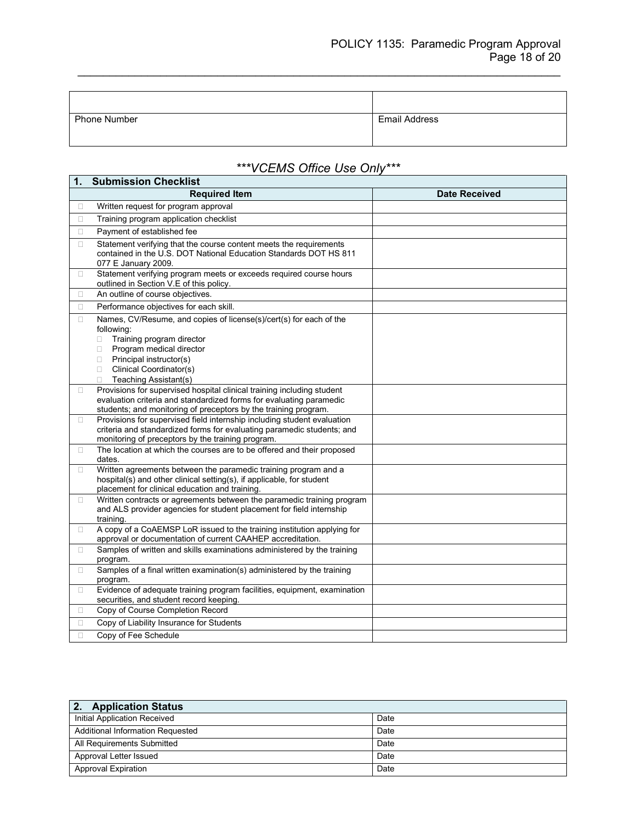| Phone Number | <b>Email Address</b> |
|--------------|----------------------|

## *\*\*\*VCEMS Office Use Only\*\*\**

| 1.     | <b>Submission Checklist</b>                                                                                                                                                                                                                       |                      |
|--------|---------------------------------------------------------------------------------------------------------------------------------------------------------------------------------------------------------------------------------------------------|----------------------|
|        | <b>Required Item</b>                                                                                                                                                                                                                              | <b>Date Received</b> |
| $\Box$ | Written request for program approval                                                                                                                                                                                                              |                      |
| $\Box$ | Training program application checklist                                                                                                                                                                                                            |                      |
| 0      | Payment of established fee                                                                                                                                                                                                                        |                      |
| 0      | Statement verifying that the course content meets the requirements<br>contained in the U.S. DOT National Education Standards DOT HS 811<br>077 E January 2009.                                                                                    |                      |
| 0      | Statement verifying program meets or exceeds required course hours<br>outlined in Section V.E of this policy.                                                                                                                                     |                      |
| 0      | An outline of course objectives.                                                                                                                                                                                                                  |                      |
| П.     | Performance objectives for each skill.                                                                                                                                                                                                            |                      |
| $\Box$ | Names, CV/Resume, and copies of license(s)/cert(s) for each of the<br>following:<br>Training program director<br>п<br>Program medical director<br>0<br>Principal instructor(s)<br>0<br>Clinical Coordinator(s)<br>п<br>Teaching Assistant(s)<br>0 |                      |
| 0      | Provisions for supervised hospital clinical training including student<br>evaluation criteria and standardized forms for evaluating paramedic<br>students; and monitoring of preceptors by the training program.                                  |                      |
| 0      | Provisions for supervised field internship including student evaluation<br>criteria and standardized forms for evaluating paramedic students; and<br>monitoring of preceptors by the training program.                                            |                      |
| П.     | The location at which the courses are to be offered and their proposed<br>dates.                                                                                                                                                                  |                      |
| 0      | Written agreements between the paramedic training program and a<br>hospital(s) and other clinical setting(s), if applicable, for student<br>placement for clinical education and training.                                                        |                      |
| $\Box$ | Written contracts or agreements between the paramedic training program<br>and ALS provider agencies for student placement for field internship<br>training.                                                                                       |                      |
| 0      | A copy of a CoAEMSP LoR issued to the training institution applying for<br>approval or documentation of current CAAHEP accreditation.                                                                                                             |                      |
| 0      | Samples of written and skills examinations administered by the training<br>program.                                                                                                                                                               |                      |
| 0      | Samples of a final written examination(s) administered by the training<br>program.                                                                                                                                                                |                      |
| 0      | Evidence of adequate training program facilities, equipment, examination<br>securities, and student record keeping.                                                                                                                               |                      |
| 0      | Copy of Course Completion Record                                                                                                                                                                                                                  |                      |
| $\Box$ | Copy of Liability Insurance for Students                                                                                                                                                                                                          |                      |
| n.     | Copy of Fee Schedule                                                                                                                                                                                                                              |                      |

| 2. Application Status            |      |
|----------------------------------|------|
| Initial Application Received     | Date |
| Additional Information Requested | Date |
| All Requirements Submitted       | Date |
| Approval Letter Issued           | Date |
| <b>Approval Expiration</b>       | Date |